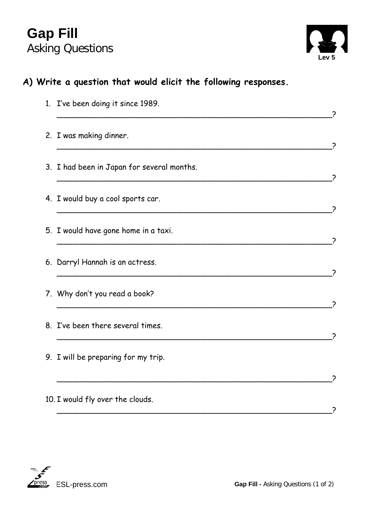## **Gap Fill**  Asking Questions **Levit Contract Contract Contract Contract Contract Contract Contract Contract Contract Contract Contract Contract Contract Contract Contract Contract Contract Contract Contract Contract Contract Contract**



## **A) Write a question that would elicit the following responses.**

| 1. I've been doing it since 1989.          |  |
|--------------------------------------------|--|
| 2. I was making dinner.                    |  |
| 3. I had been in Japan for several months. |  |
| 4. I would buy a cool sports car.          |  |
| 5. I would have gone home in a taxi.       |  |
| 6. Darryl Hannah is an actress.            |  |
| 7. Why don't you read a book?              |  |
| 8. I've been there several times.          |  |
| 9. I will be preparing for my trip.        |  |
|                                            |  |
| 10. I would fly over the clouds.           |  |

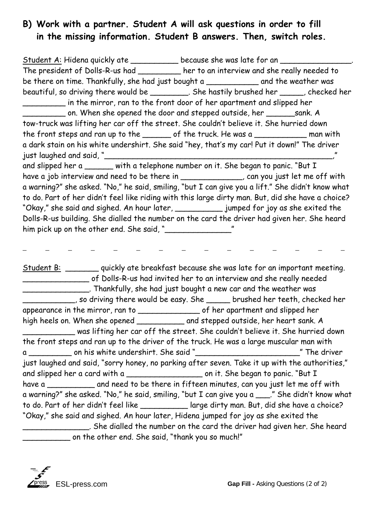## **B) Work with a partner. Student A will ask questions in order to fill in the missing information. Student B answers. Then, switch roles.**

Student A: Hidena quickly ate \_\_\_\_\_\_\_\_\_\_\_ because she was late for an \_\_\_\_\_\_\_\_\_\_ The president of Dolls-R-us had \_\_\_\_\_\_\_\_\_ her to an interview and she really needed to be there on time. Thankfully, she had just bought a \_\_\_\_\_\_\_\_\_\_\_\_\_\_ and the weather was beautiful, so driving there would be \_\_\_\_\_\_\_\_. She hastily brushed her \_\_\_\_\_, checked her \_\_\_\_\_\_\_\_\_ in the mirror, ran to the front door of her apartment and slipped her \_\_\_\_\_\_\_\_\_ on. When she opened the door and stepped outside, her \_\_\_\_\_\_sank. A tow-truck was lifting her car off the street. She couldn't believe it. She hurried down the front steps and ran up to the \_\_\_\_\_\_ of the truck. He was a \_\_\_\_\_\_\_\_\_\_\_ man with a dark stain on his white undershirt. She said "hey, that's my car! Put it down!" The driver just laughed and said, " and slipped her a \_\_\_\_\_\_ with a telephone number on it. She began to panic. "But I have a job interview and need to be there in \_\_\_\_\_\_\_\_\_\_\_\_\_, can you just let me off with a warning?" she asked. "No," he said, smiling, "but I can give you a lift." She didn't know what to do. Part of her didn't feel like riding with this large dirty man. But, did she have a choice? "Okay," she said and sighed. An hour later, \_\_\_\_\_\_\_\_\_\_ jumped for joy as she exited the Dolls-R-us building. She dialled the number on the card the driver had given her. She heard him pick up on the other end. She said, "\_\_\_\_\_\_\_\_\_\_\_\_\_\_"

Student B: \_\_\_\_\_\_\_ quickly ate breakfast because she was late for an important meeting. \_\_\_\_\_\_\_\_\_\_\_\_\_\_ of Dolls-R-us had invited her to an interview and she really needed \_\_\_\_\_\_\_\_\_\_\_\_\_\_. Thankfully, she had just bought a new car and the weather was \_\_\_\_\_\_\_\_\_\_\_, so driving there would be easy. She \_\_\_\_\_ brushed her teeth, checked her appearance in the mirror, ran to \_\_\_\_\_\_\_\_\_\_\_\_\_ of her apartment and slipped her high heels on. When she opened \_\_\_\_\_\_\_\_\_\_ and stepped outside, her heart sank. A \_\_\_\_\_\_\_\_\_\_\_ was lifting her car off the street. She couldn't believe it. She hurried down the front steps and ran up to the driver of the truck. He was a large muscular man with a \_\_\_\_\_\_\_\_\_ on his white undershirt. She said "\_\_\_\_\_\_\_\_\_\_\_\_\_\_\_\_\_\_\_\_\_\_" The driver just laughed and said, "sorry honey, no parking after seven. Take it up with the authorities," and slipped her a card with a \_\_\_\_\_\_\_\_\_\_\_\_\_\_\_\_ on it. She began to panic. "But I have a <u>come and need to be there in fifteen minutes</u>, can you just let me off with a warning?" she asked. "No," he said, smiling, "but I can give you a \_\_\_." She didn't know what to do. Part of her didn't feel like \_\_\_\_\_\_\_\_\_\_ large dirty man. But, did she have a choice? "Okay," she said and sighed. An hour later, Hidena jumped for joy as she exited the \_\_\_\_\_\_\_\_\_\_\_\_\_\_. She dialled the number on the card the driver had given her. She heard \_\_\_\_\_\_\_\_\_\_ on the other end. She said, "thank you so much!"

 $\mathcal{L} = \mathcal{L} \times \mathcal{L} = \mathcal{L} \times \mathcal{L} = \mathcal{L} \times \mathcal{L} = \mathcal{L} \times \mathcal{L} = \mathcal{L} \times \mathcal{L} = \mathcal{L} \times \mathcal{L} = \mathcal{L} \times \mathcal{L} = \mathcal{L} \times \mathcal{L} = \mathcal{L} \times \mathcal{L} = \mathcal{L} \times \mathcal{L} = \mathcal{L} \times \mathcal{L} = \mathcal{L} \times \mathcal{L} = \mathcal{L} \times \mathcal{L} = \mathcal{L} \times \mathcal{L} = \mathcal$